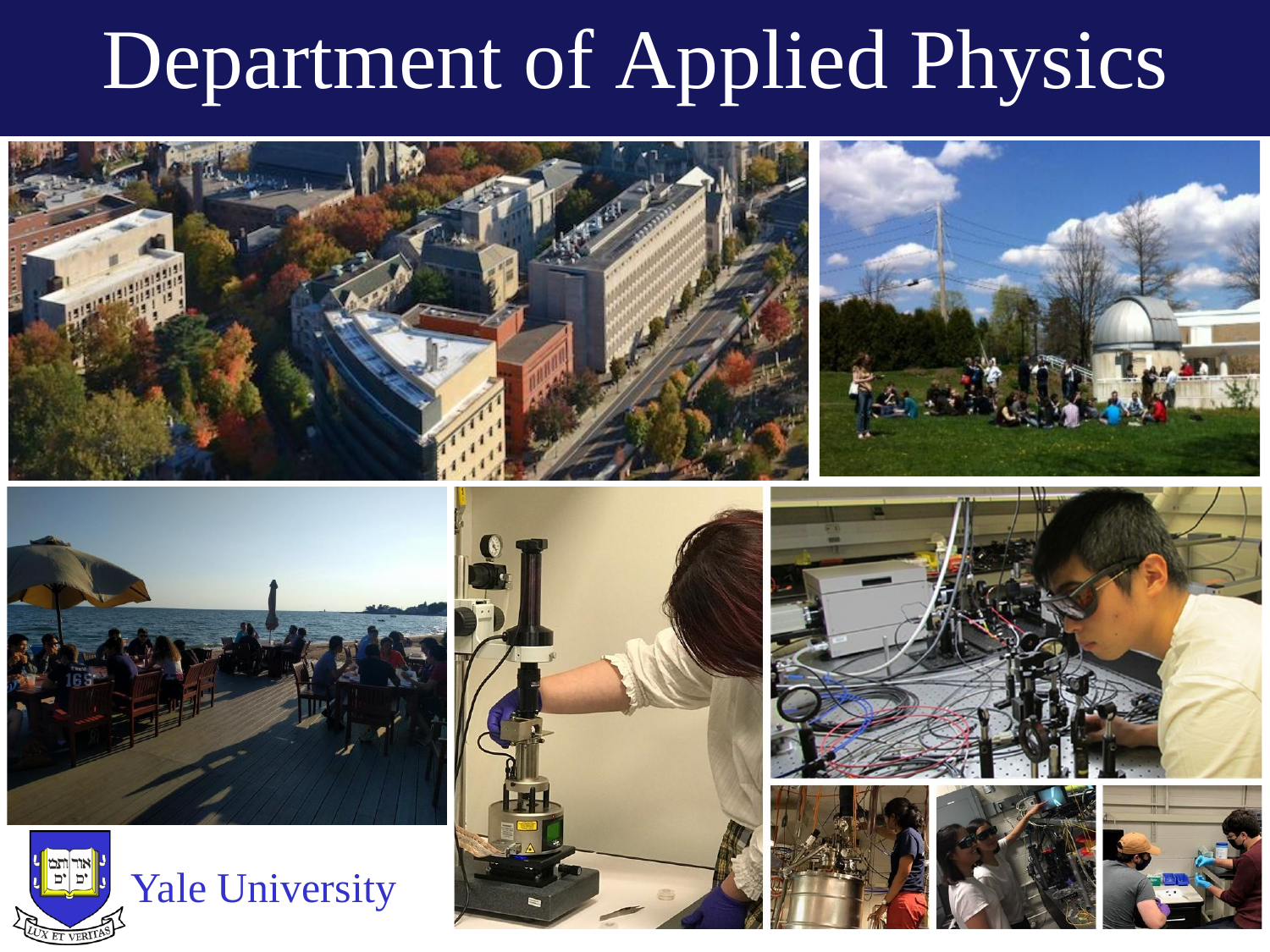# Department of Applied Physics















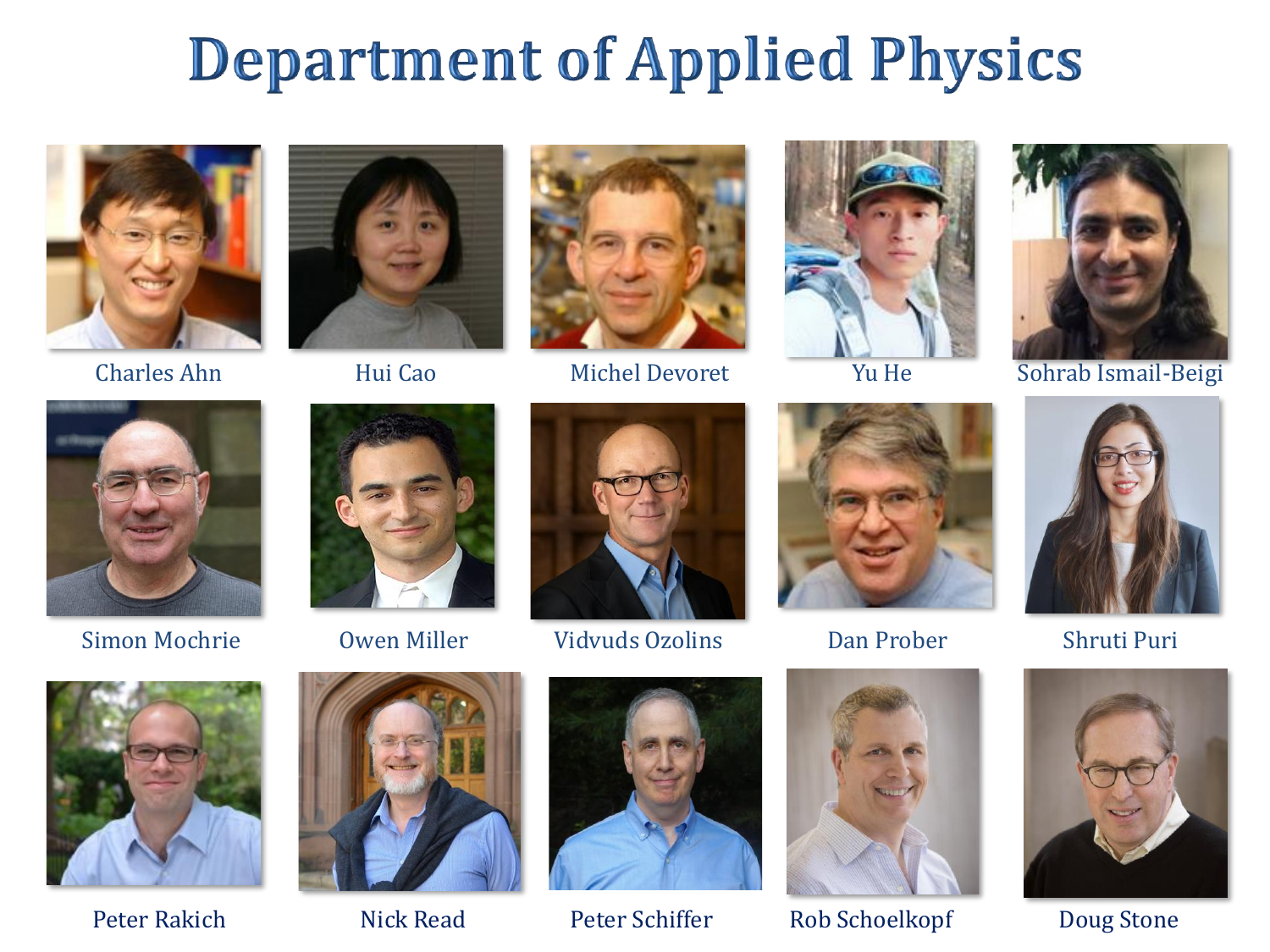## **Department of Applied Physics**











Charles Ahn Michel Devoret Nu He Sohrab Ismail-Beigi











Simon Mochrie Owen Miller Vidvuds Ozolins Dan Prober Shruti Puri







Peter Rakich Nick Read Peter Schiffer Rob Schoelkopf Doug Stone



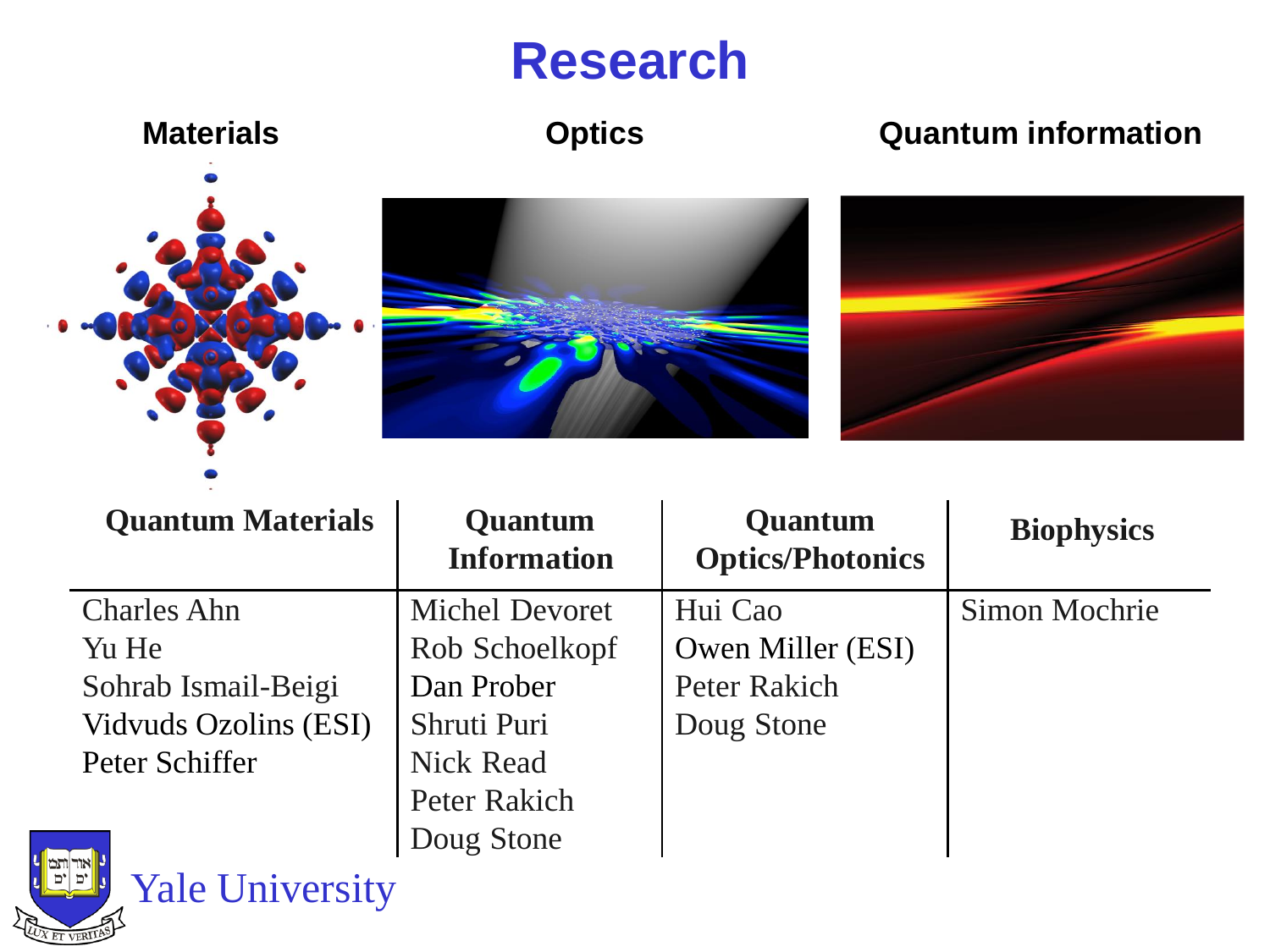## **Research**



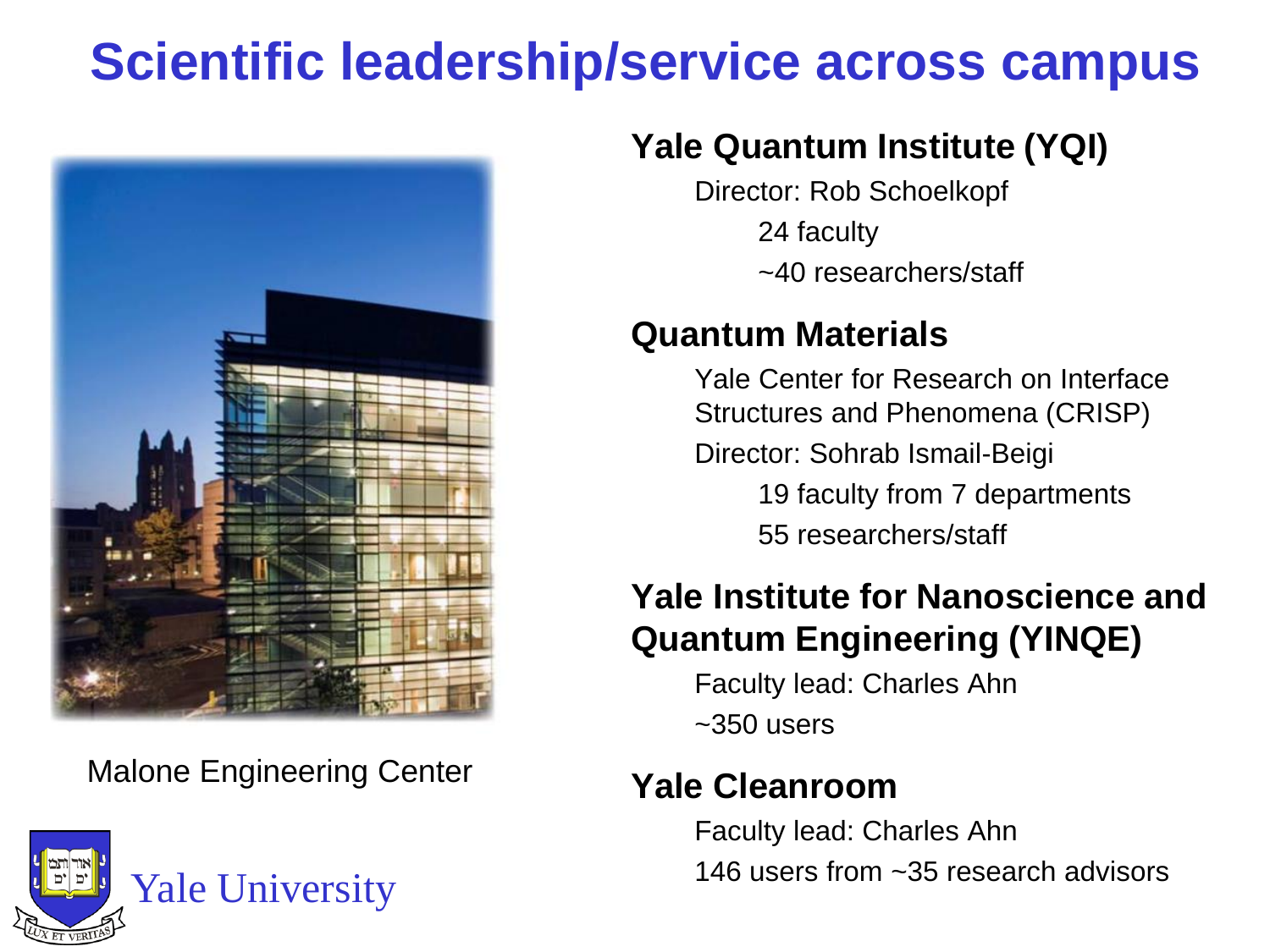## **Scientific leadership/service across campus**



Malone Engineering Center



#### **Yale Quantum Institute (YQI)**

Director: Rob Schoelkopf

24 faculty

~40 researchers/staff

#### **Quantum Materials**

Yale Center for Research on Interface Structures and Phenomena (CRISP)

Director: Sohrab Ismail-Beigi

19 faculty from 7 departments

55 researchers/staff

#### **Yale Institute for Nanoscience and Quantum Engineering (YINQE)**

Faculty lead: Charles Ahn  $~1$ ~350 users

#### **Yale Cleanroom**

Faculty lead: Charles Ahn 146 users from ~35 research advisors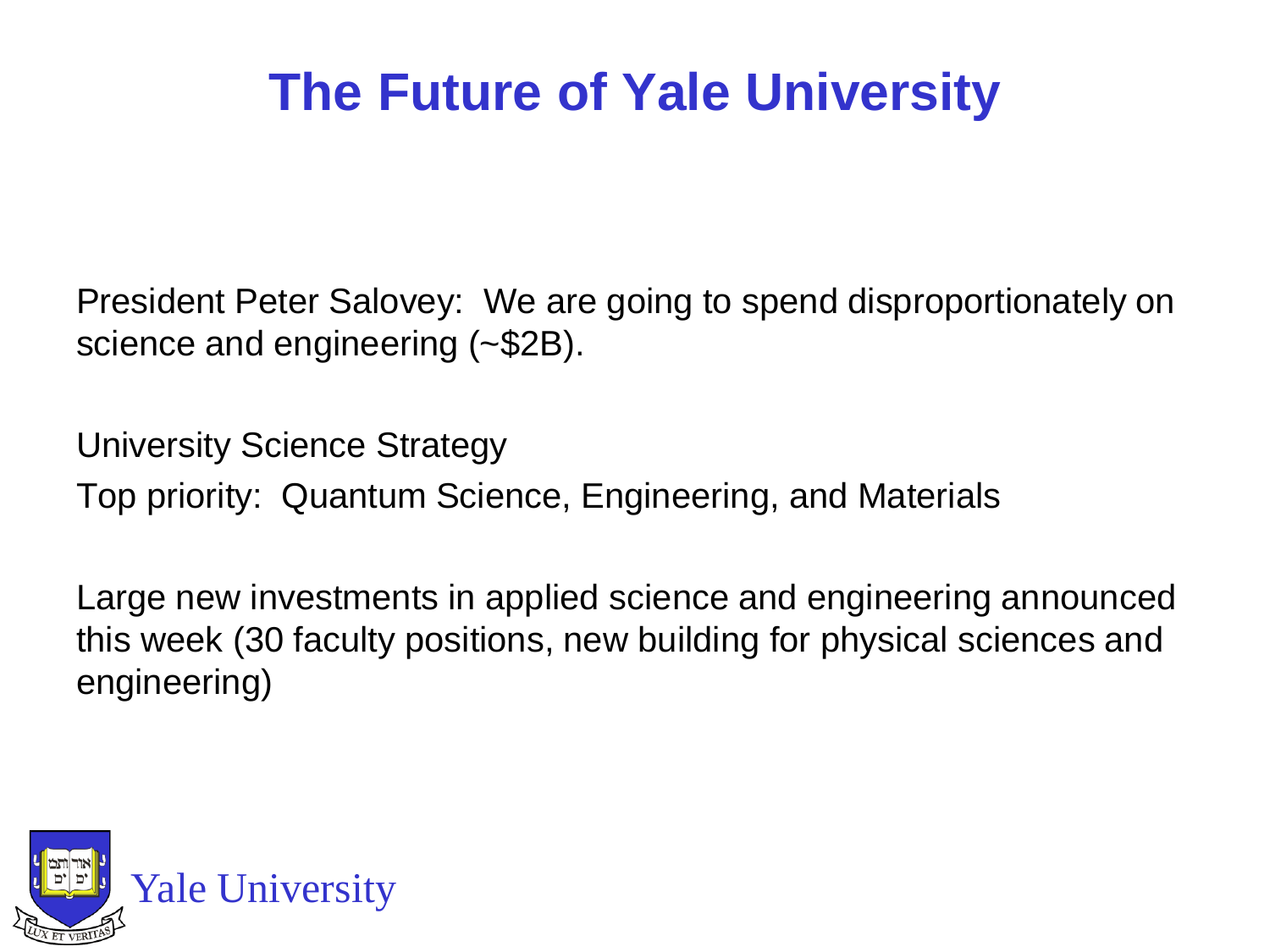## **The Future of Yale University**

President Peter Salovey: We are going to spend disproportionately on science and engineering (~\$2B).

University Science Strategy Top priority: Quantum Science, Engineering, and Materials

Large new investments in applied science and engineering announced this week (30 faculty positions, new building for physical sciences and engineering)

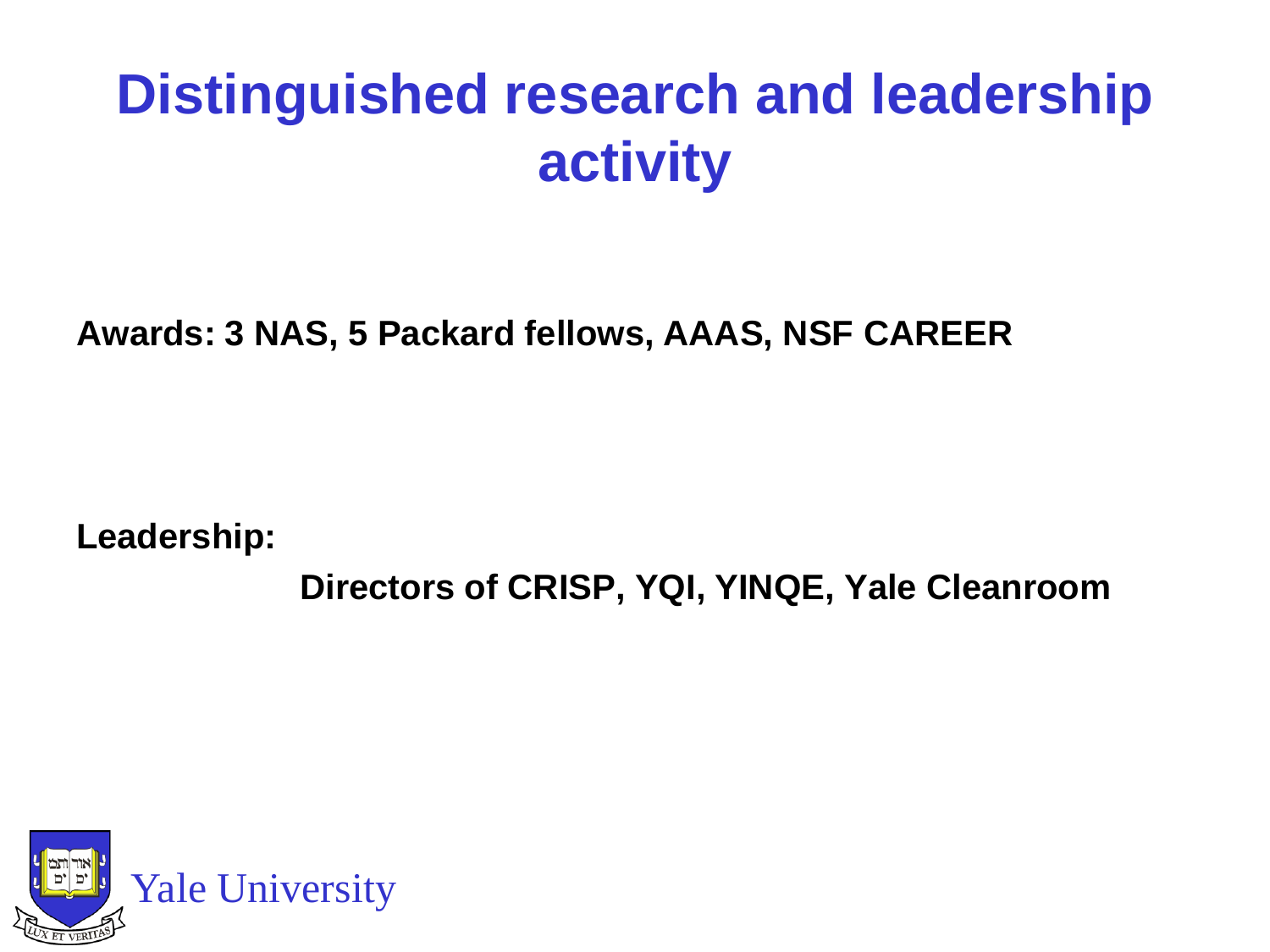## **Distinguished research and leadership activity**

**Awards: 3 NAS, 5 Packard fellows, AAAS, NSF CAREER**

**Leadership:**

**Directors of CRISP, YQI, YINQE, Yale Cleanroom**

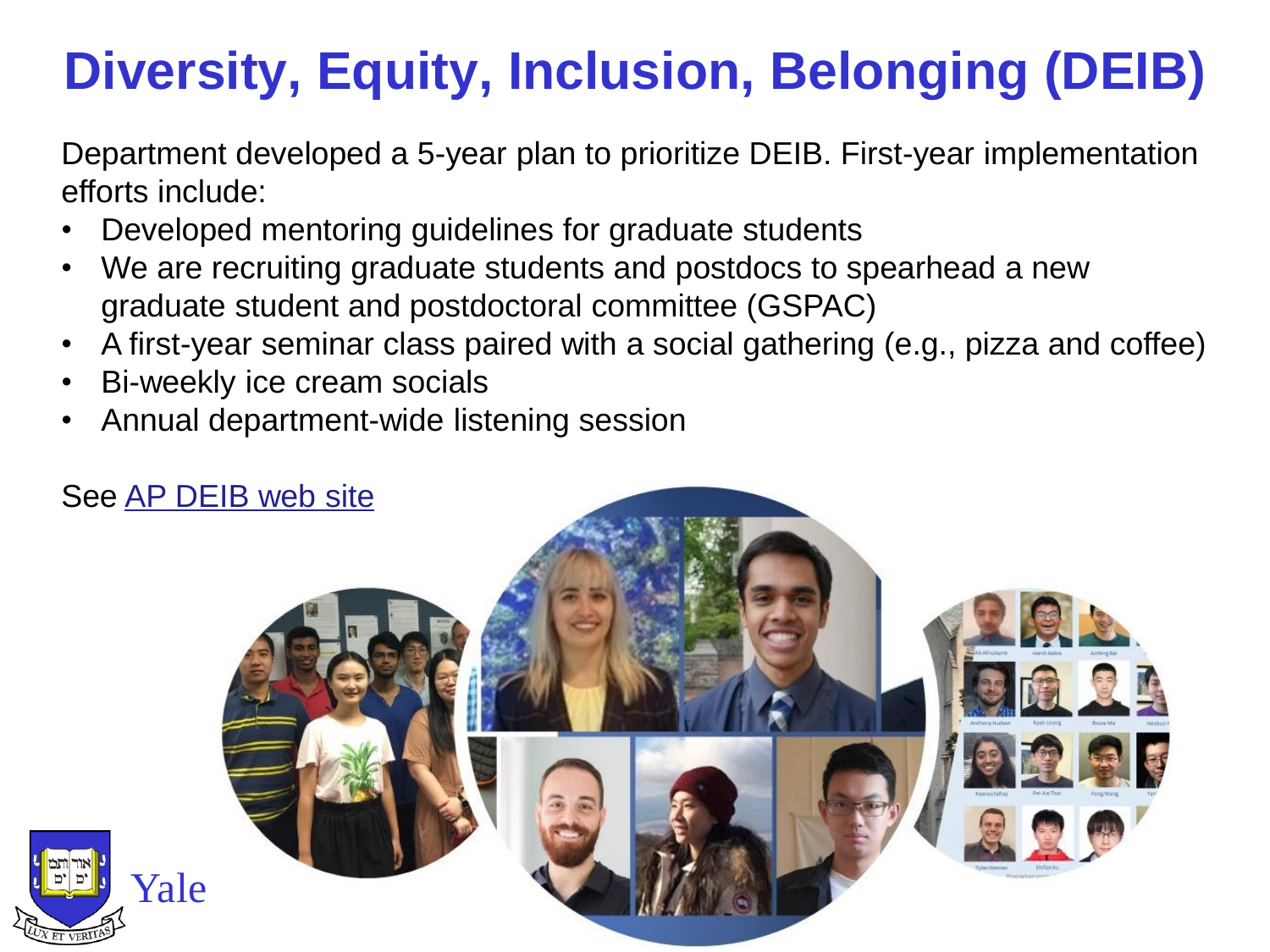## **Diversity, Equity, Inclusion, Belonging (DEIB)**

Department developed a 5-year plan to prioritize DEIB. First-year implementation efforts include:

- Developed mentoring guidelines for graduate students
- We are recruiting graduate students and postdocs to spearhead a new graduate student and postdoctoral committee (GSPAC)
- A first-year seminar class paired with a social gathering (e.g., pizza and coffee)
- Bi-weekly ice cream socials
- Annual department-wide listening session

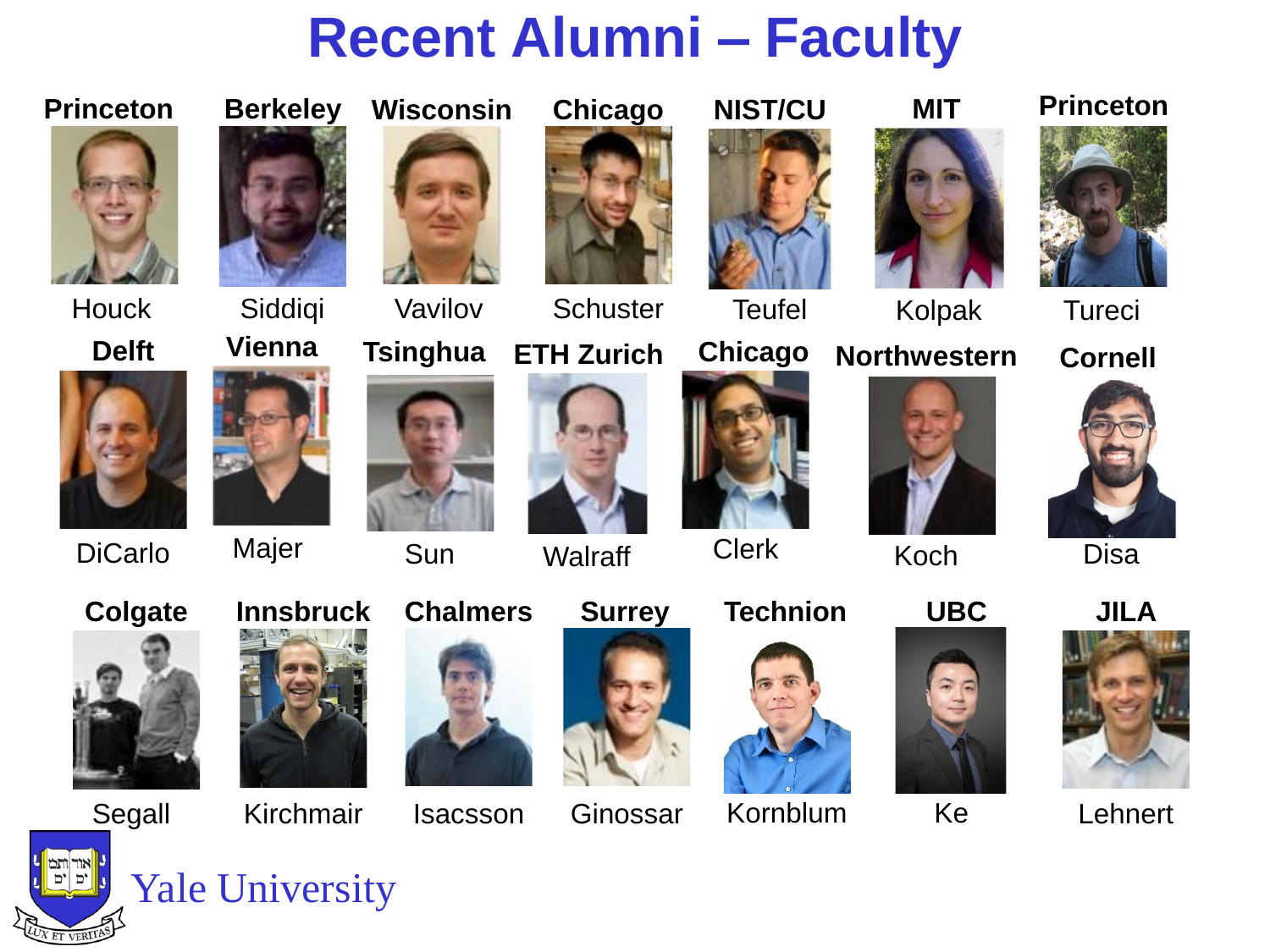## **Recent Alumni – Faculty**

**Chicago**

#### **Princeton**



Houck Siddiqi





DiCarlo

**Colgate**



**Berkeley**

Majer





**Innsbruck**



Vavilov

**Wisconsin**

**Sun** 

Isacsson

**Chalmers**



**Walraff** 



Clerk











**Princeton**



Disa



**Lehnert** 



#### Yale University





Ginossar













**Schuster** 







**MIT**

Teufel Kolpak

**Northwestern**





Kornblum Ke









Koch